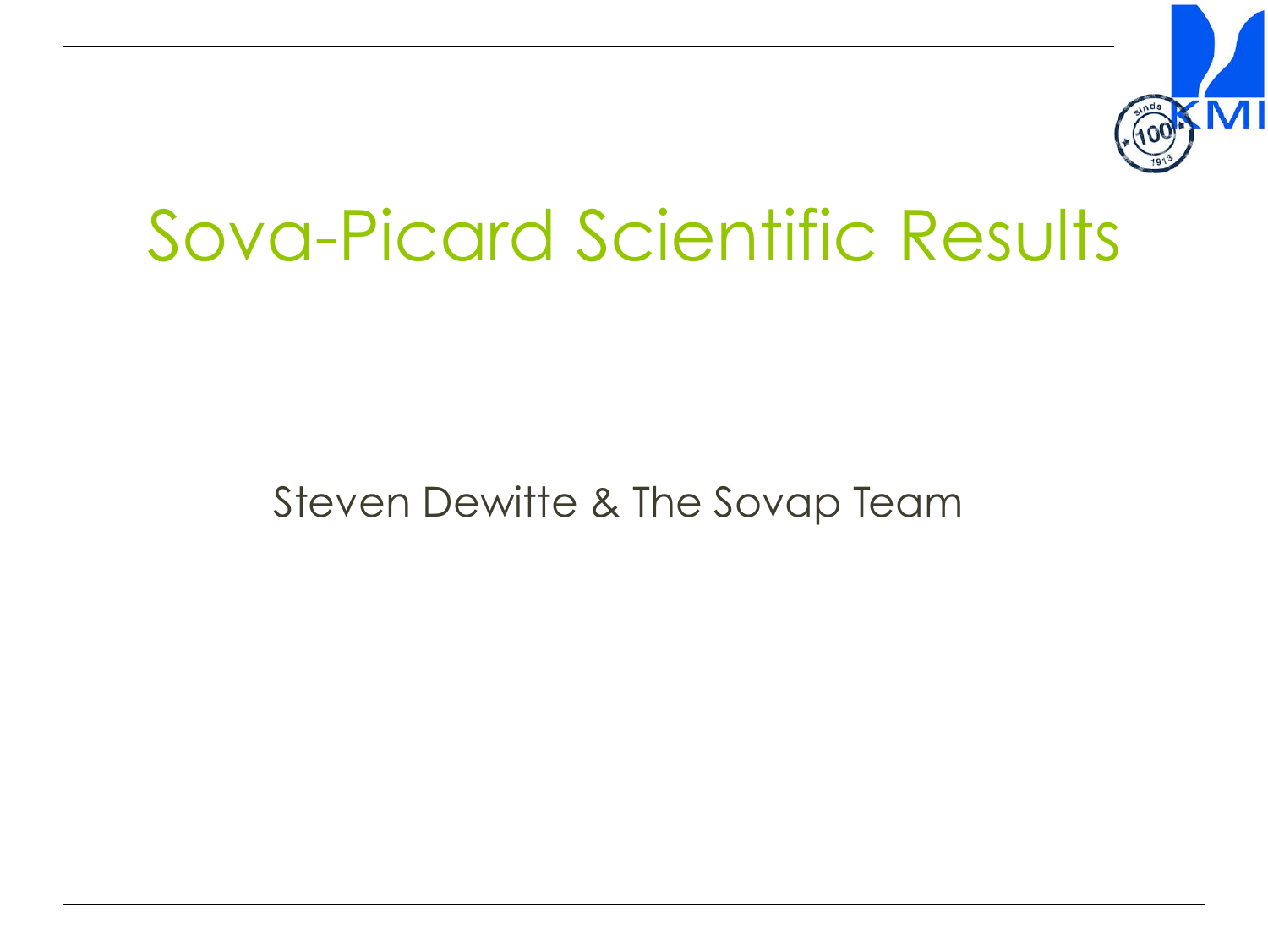

## Sova-Picard Scientific Results

## Steven Dewitte & The Sovap Team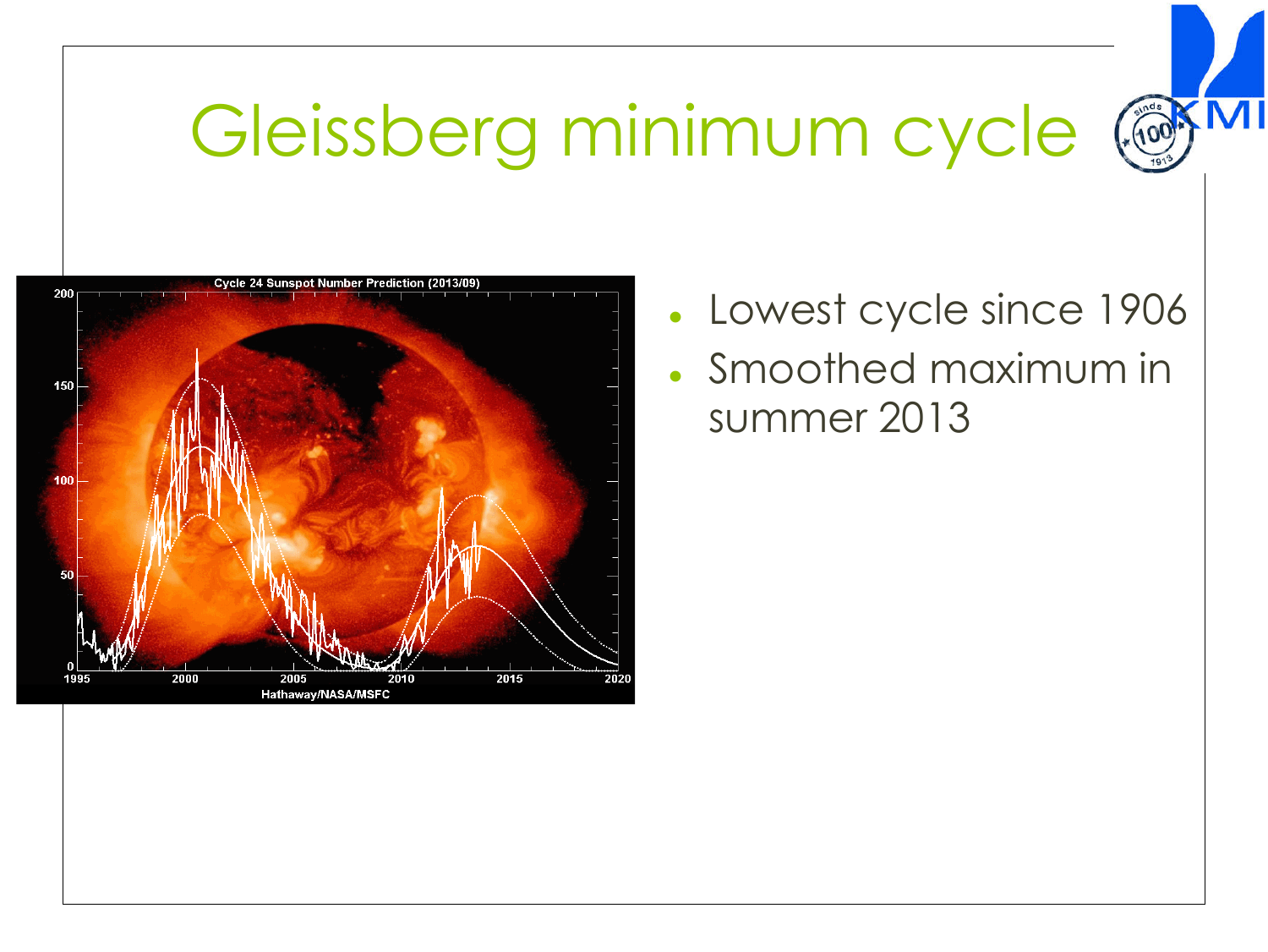## Gleissberg minimum cycle (@



Lowest cycle since 1906 ! Smoothed maximum in summer 2013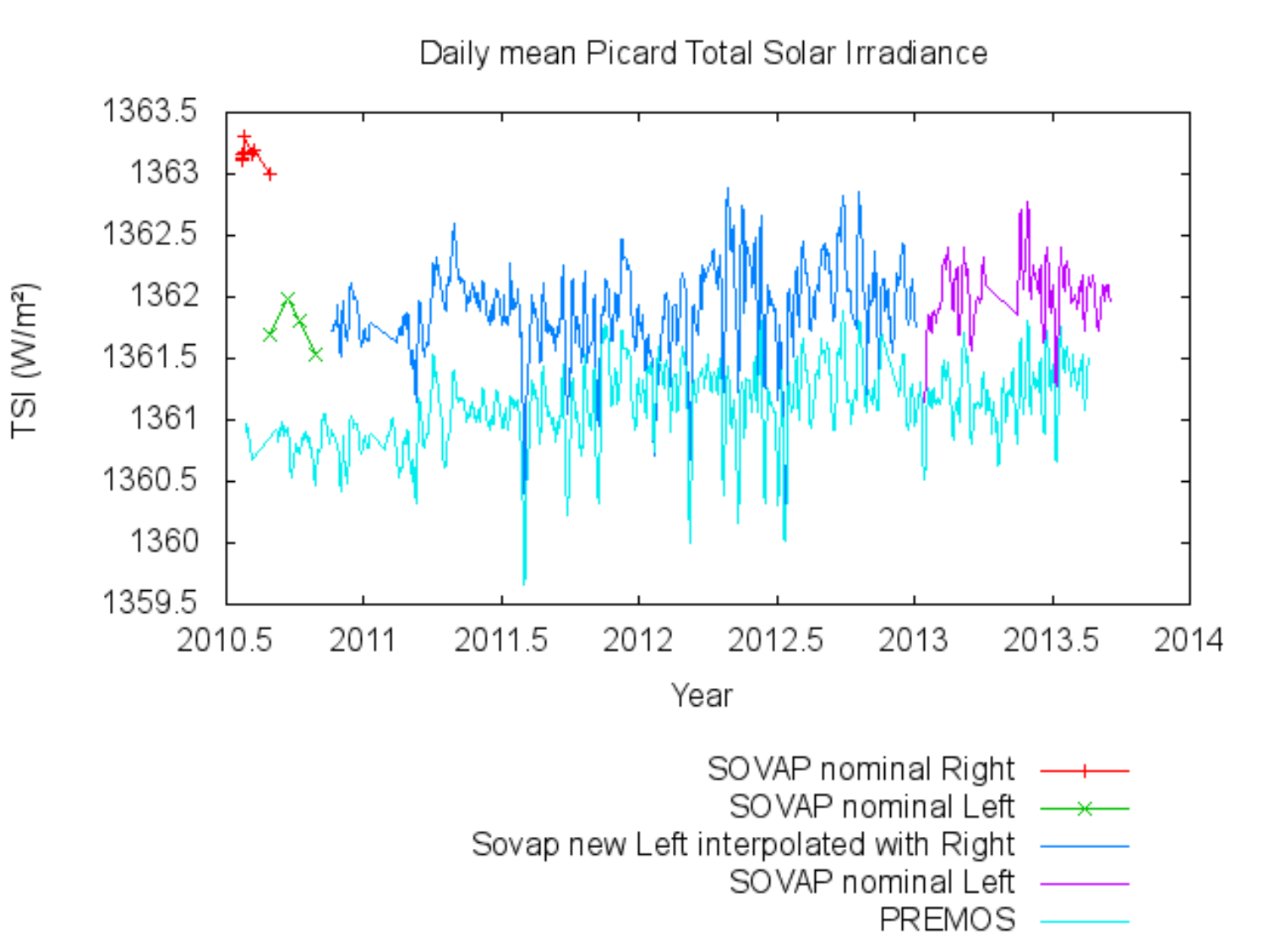Daily mean Picard Total Solar Irradiance



TSI (W/m<sup>2</sup>)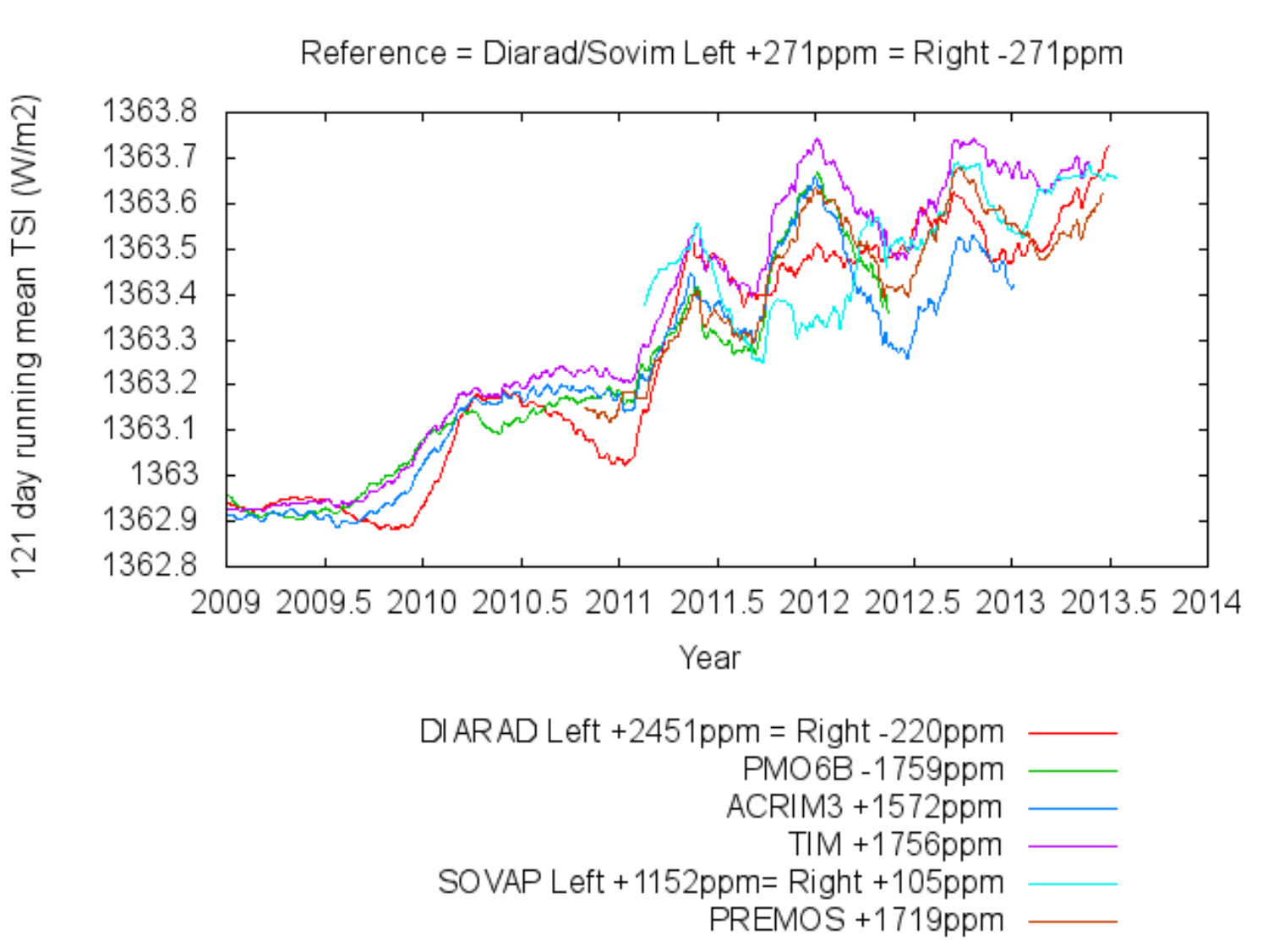Reference = Diarad/Sovim Left +271ppm = Right -271ppm

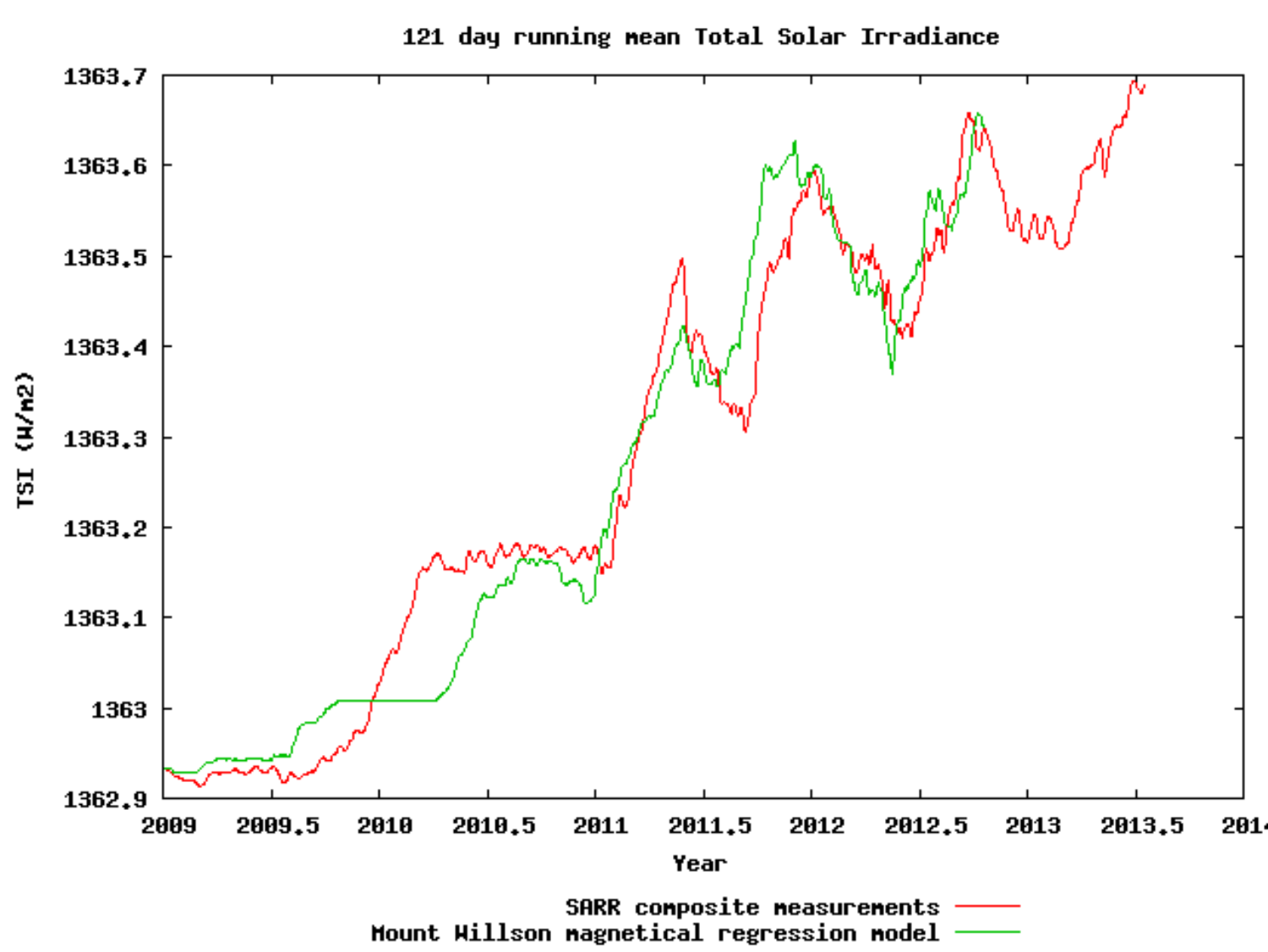

121 day running mean Total Solar Irradiance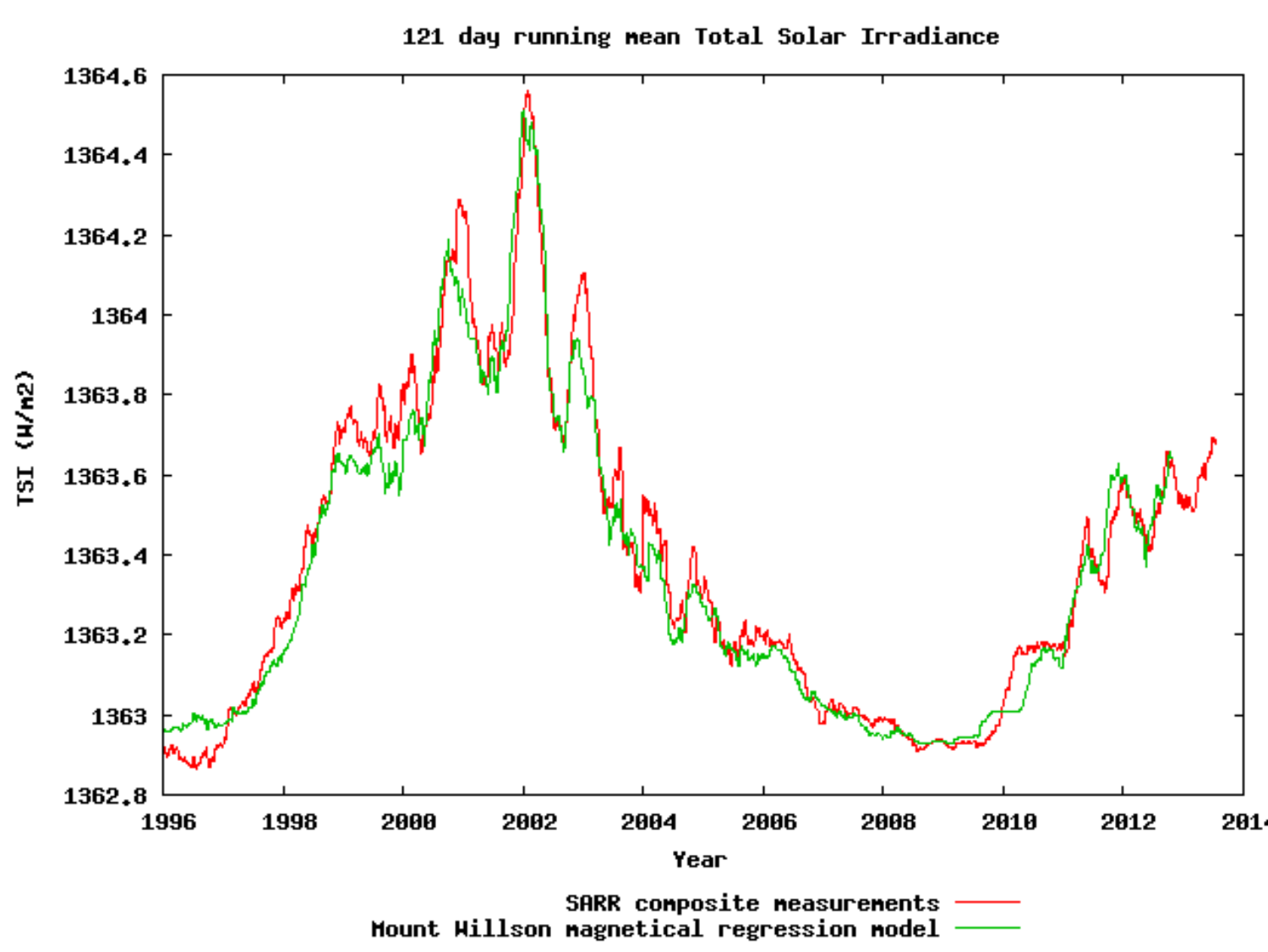

121 day running mean Total Solar Irradiance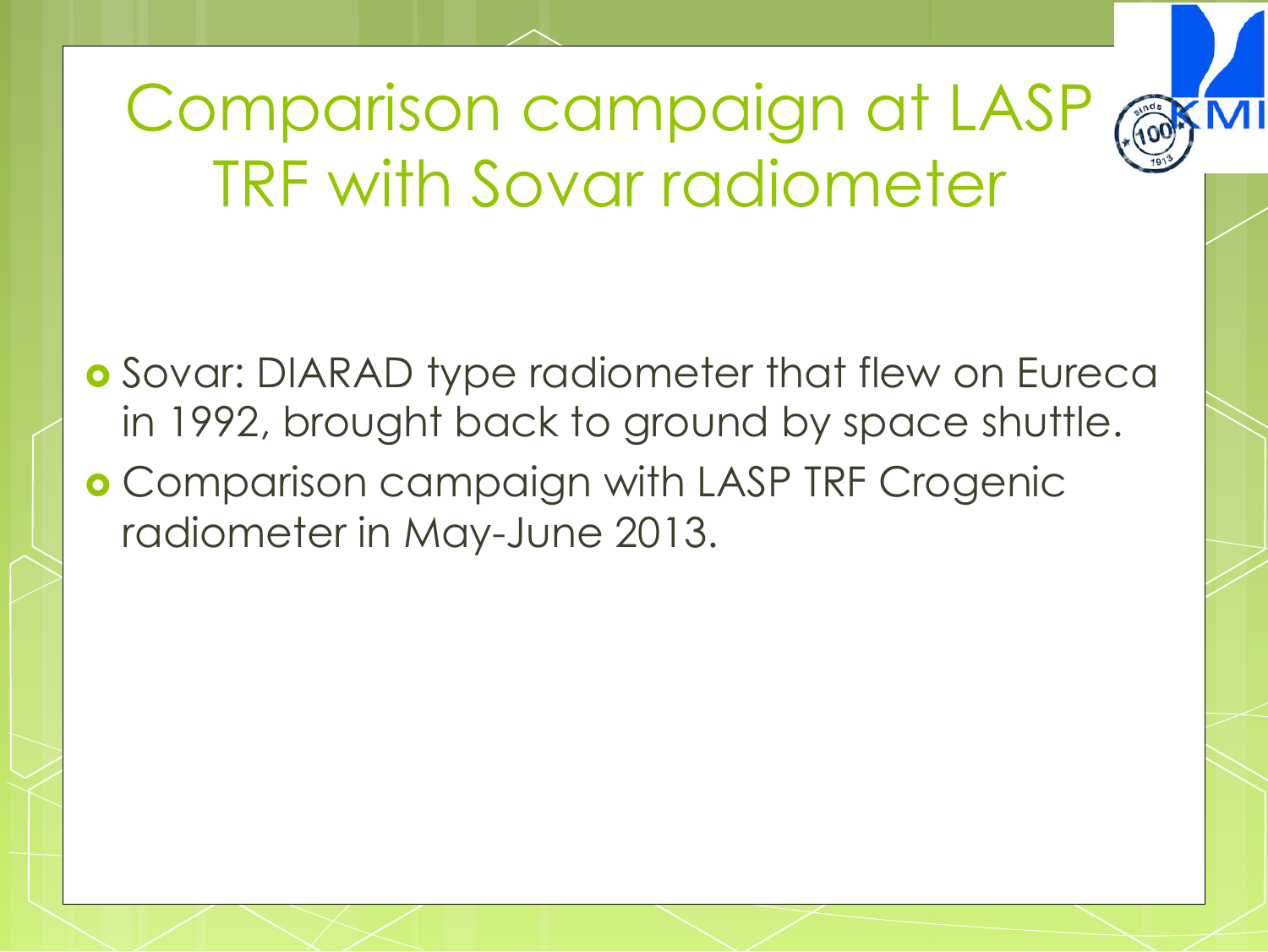

Comparison campaign at LASP TRF with Sovar radiometer

**o** Sovar: DIARAD type radiometer that flew on Eureca in 1992, brought back to ground by space shuttle.

**. Comparison campaign with LASP TRF Crogenic** radiometer in May-June 2013.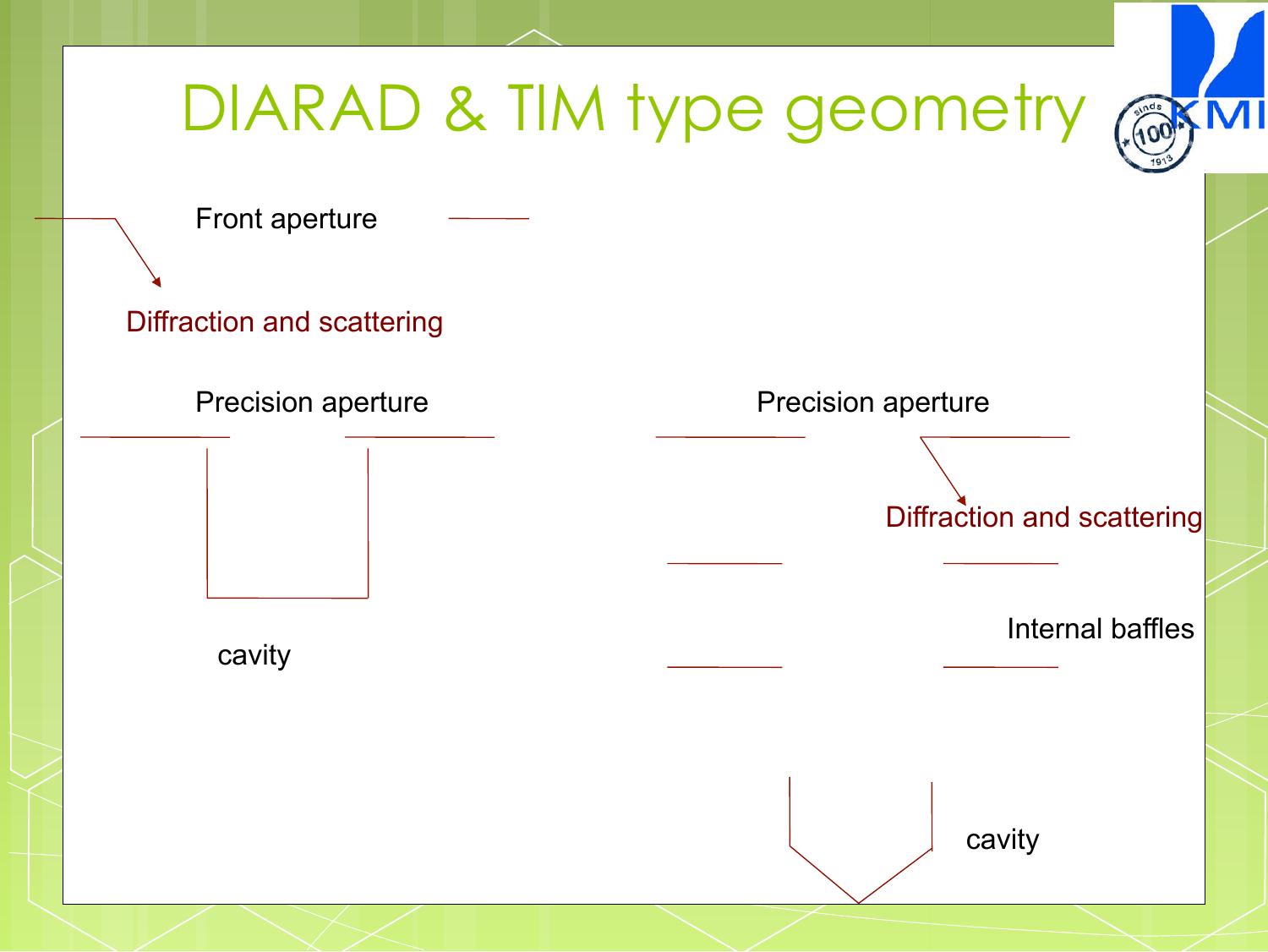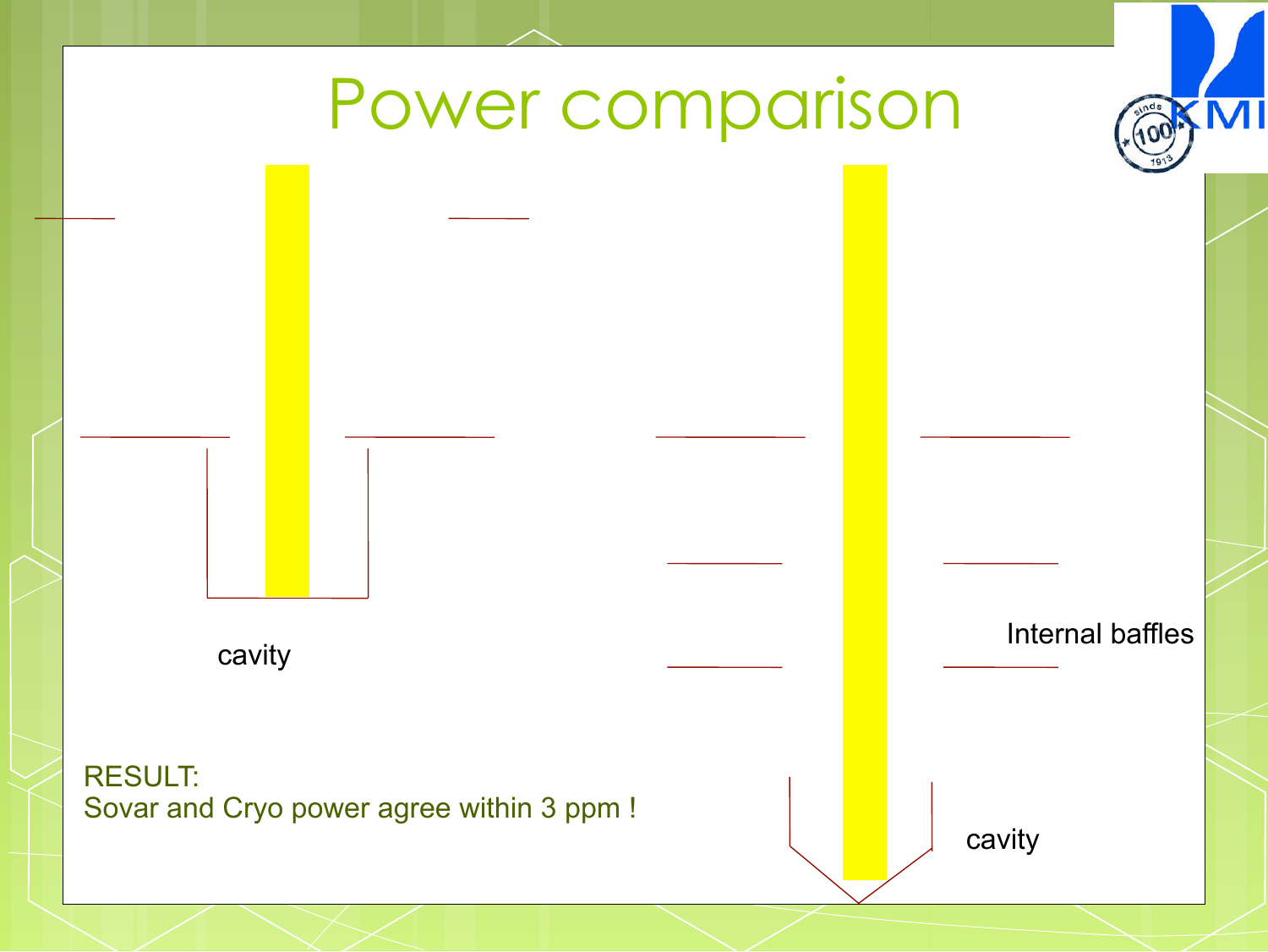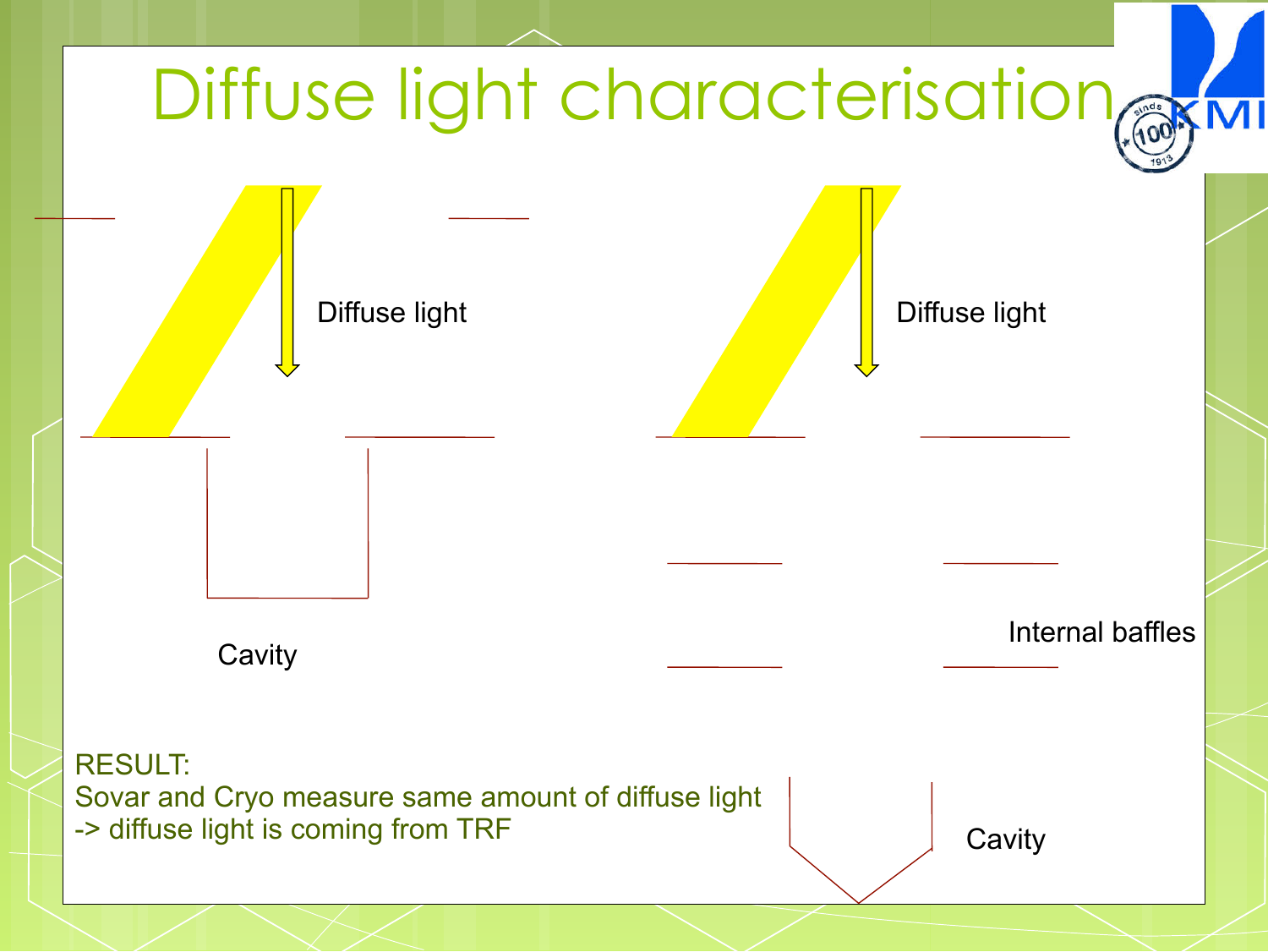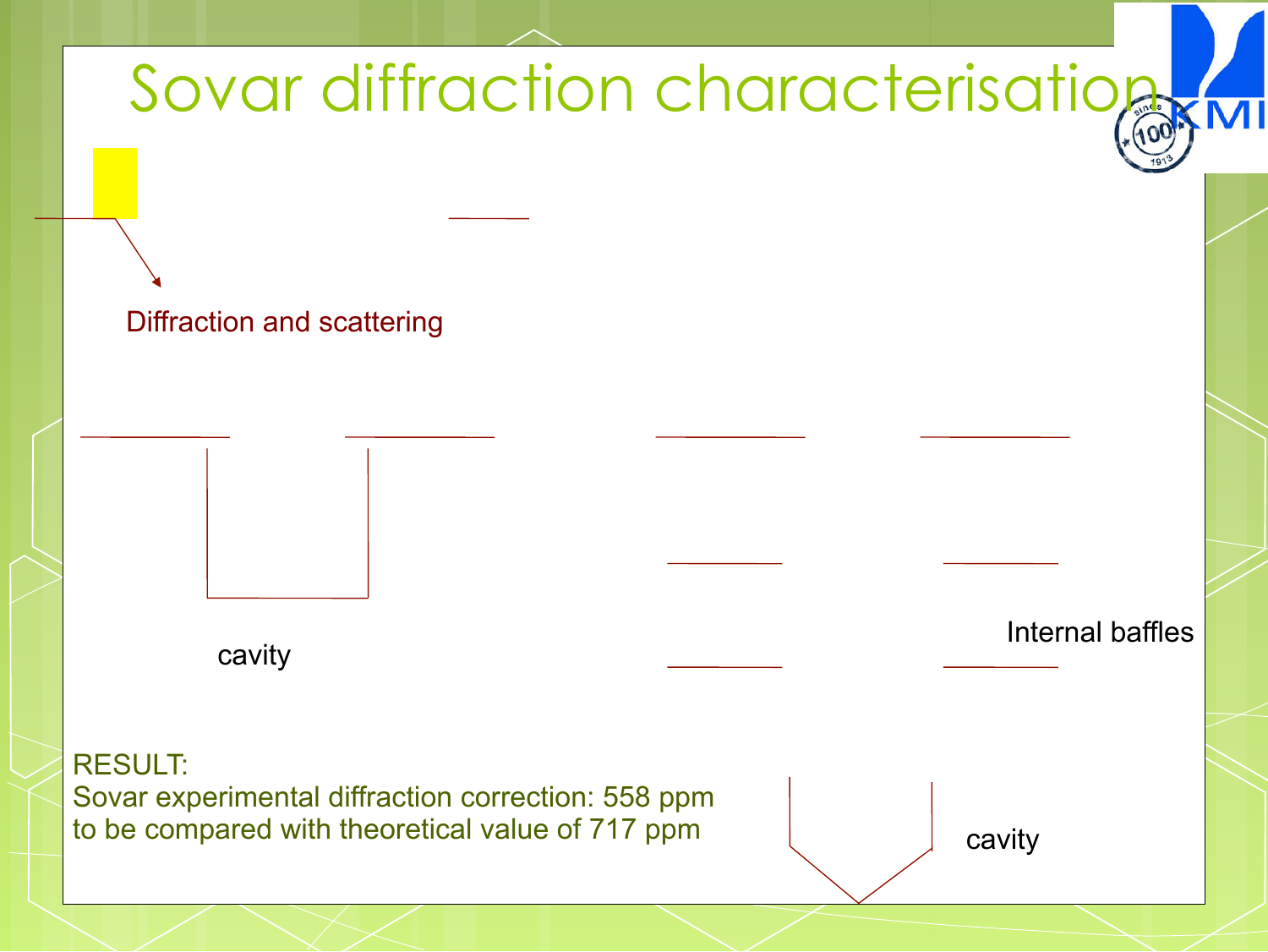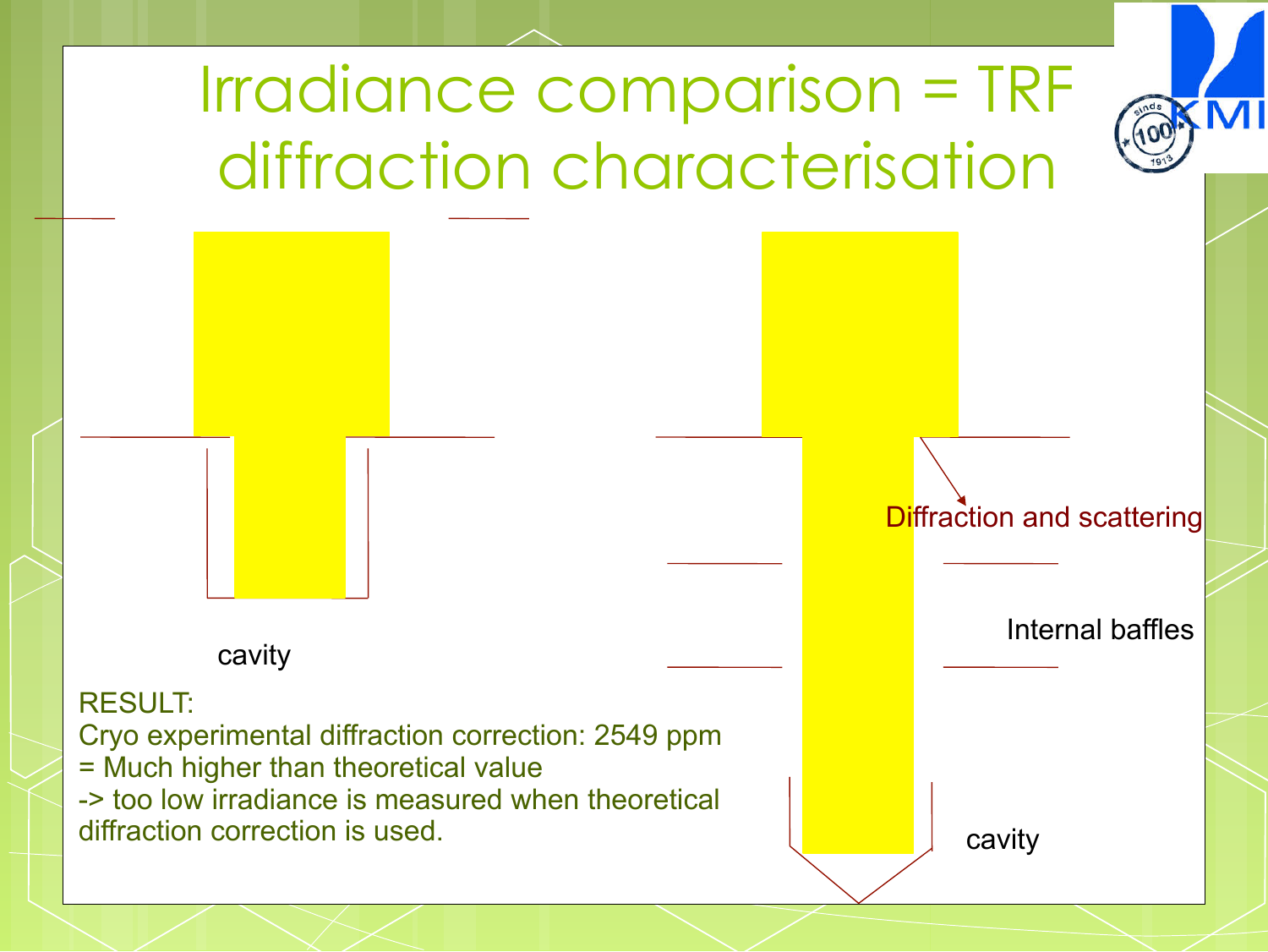